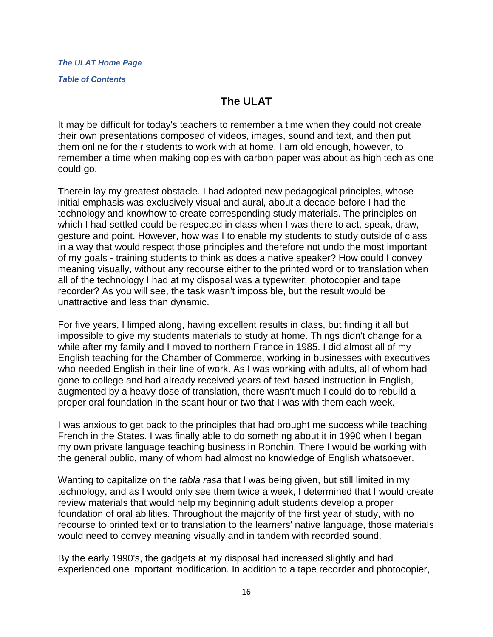*[The ULAT Home Page](http://www.theulat.com/)*

*[Table of Contents](http://www.theulat.com/INOTHERWORDS/CONTENTS.PDF)*

## **The ULAT**

It may be difficult for today's teachers to remember a time when they could not create their own presentations composed of videos, images, sound and text, and then put them online for their students to work with at home. I am old enough, however, to remember a time when making copies with carbon paper was about as high tech as one could go.

Therein lay my greatest obstacle. I had adopted new pedagogical principles, whose initial emphasis was exclusively visual and aural, about a decade before I had the technology and knowhow to create corresponding study materials. The principles on which I had settled could be respected in class when I was there to act, speak, draw, gesture and point. However, how was I to enable my students to study outside of class in a way that would respect those principles and therefore not undo the most important of my goals - training students to think as does a native speaker? How could I convey meaning visually, without any recourse either to the printed word or to translation when all of the technology I had at my disposal was a typewriter, photocopier and tape recorder? As you will see, the task wasn't impossible, but the result would be unattractive and less than dynamic.

For five years, I limped along, having excellent results in class, but finding it all but impossible to give my students materials to study at home. Things didn't change for a while after my family and I moved to northern France in 1985. I did almost all of my English teaching for the Chamber of Commerce, working in businesses with executives who needed English in their line of work. As I was working with adults, all of whom had gone to college and had already received years of text-based instruction in English, augmented by a heavy dose of translation, there wasn't much I could do to rebuild a proper oral foundation in the scant hour or two that I was with them each week.

I was anxious to get back to the principles that had brought me success while teaching French in the States. I was finally able to do something about it in 1990 when I began my own private language teaching business in Ronchin. There I would be working with the general public, many of whom had almost no knowledge of English whatsoever.

Wanting to capitalize on the *tabla rasa* that I was being given, but still limited in my technology, and as I would only see them twice a week, I determined that I would create review materials that would help my beginning adult students develop a proper foundation of oral abilities. Throughout the majority of the first year of study, with no recourse to printed text or to translation to the learners' native language, those materials would need to convey meaning visually and in tandem with recorded sound.

By the early 1990's, the gadgets at my disposal had increased slightly and had experienced one important modification. In addition to a tape recorder and photocopier,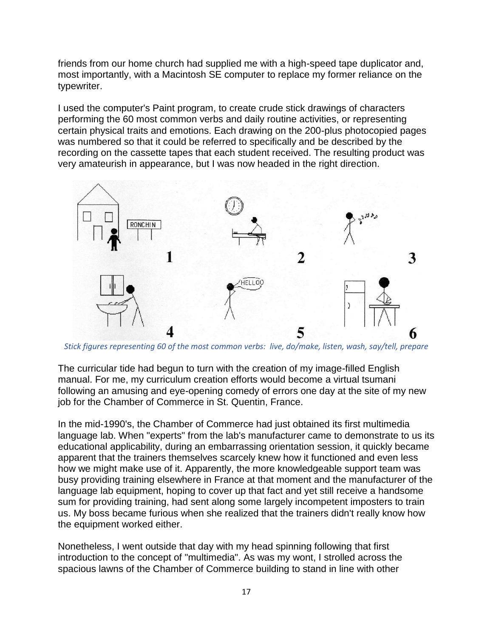friends from our home church had supplied me with a high-speed tape duplicator and, most importantly, with a Macintosh SE computer to replace my former reliance on the typewriter.

I used the computer's Paint program, to create crude stick drawings of characters performing the 60 most common verbs and daily routine activities, or representing certain physical traits and emotions. Each drawing on the 200-plus photocopied pages was numbered so that it could be referred to specifically and be described by the recording on the cassette tapes that each student received. The resulting product was very amateurish in appearance, but I was now headed in the right direction.



*Stick figures representing 60 of the most common verbs: live, do/make, listen, wash, say/tell, prepare*

The curricular tide had begun to turn with the creation of my image-filled English manual. For me, my curriculum creation efforts would become a virtual tsumani following an amusing and eye-opening comedy of errors one day at the site of my new job for the Chamber of Commerce in St. Quentin, France.

In the mid-1990's, the Chamber of Commerce had just obtained its first multimedia language lab. When "experts" from the lab's manufacturer came to demonstrate to us its educational applicability, during an embarrassing orientation session, it quickly became apparent that the trainers themselves scarcely knew how it functioned and even less how we might make use of it. Apparently, the more knowledgeable support team was busy providing training elsewhere in France at that moment and the manufacturer of the language lab equipment, hoping to cover up that fact and yet still receive a handsome sum for providing training, had sent along some largely incompetent imposters to train us. My boss became furious when she realized that the trainers didn't really know how the equipment worked either.

Nonetheless, I went outside that day with my head spinning following that first introduction to the concept of "multimedia". As was my wont, I strolled across the spacious lawns of the Chamber of Commerce building to stand in line with other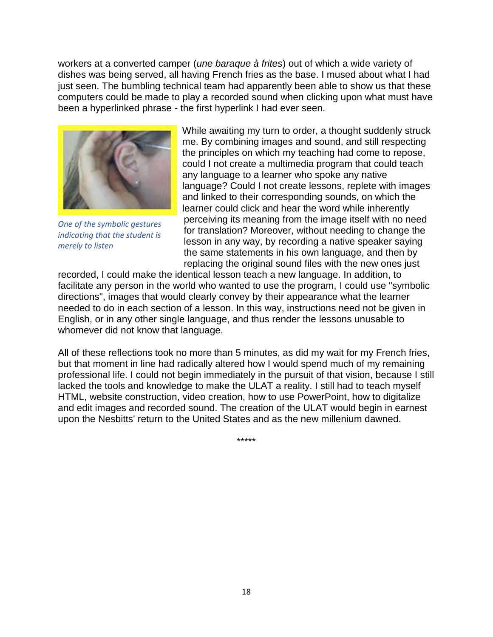workers at a converted camper (*une baraque à frites*) out of which a wide variety of dishes was being served, all having French fries as the base. I mused about what I had just seen. The bumbling technical team had apparently been able to show us that these computers could be made to play a recorded sound when clicking upon what must have been a hyperlinked phrase - the first hyperlink I had ever seen.



*One of the symbolic gestures indicating that the student is merely to listen*

While awaiting my turn to order, a thought suddenly struck me. By combining images and sound, and still respecting the principles on which my teaching had come to repose, could I not create a multimedia program that could teach any language to a learner who spoke any native language? Could I not create lessons, replete with images and linked to their corresponding sounds, on which the learner could click and hear the word while inherently perceiving its meaning from the image itself with no need for translation? Moreover, without needing to change the lesson in any way, by recording a native speaker saying the same statements in his own language, and then by replacing the original sound files with the new ones just

recorded, I could make the identical lesson teach a new language. In addition, to facilitate any person in the world who wanted to use the program, I could use "symbolic directions", images that would clearly convey by their appearance what the learner needed to do in each section of a lesson. In this way, instructions need not be given in English, or in any other single language, and thus render the lessons unusable to whomever did not know that language.

All of these reflections took no more than 5 minutes, as did my wait for my French fries, but that moment in line had radically altered how I would spend much of my remaining professional life. I could not begin immediately in the pursuit of that vision, because I still lacked the tools and knowledge to make the ULAT a reality. I still had to teach myself HTML, website construction, video creation, how to use PowerPoint, how to digitalize and edit images and recorded sound. The creation of the ULAT would begin in earnest upon the Nesbitts' return to the United States and as the new millenium dawned.

\*\*\*\*\*